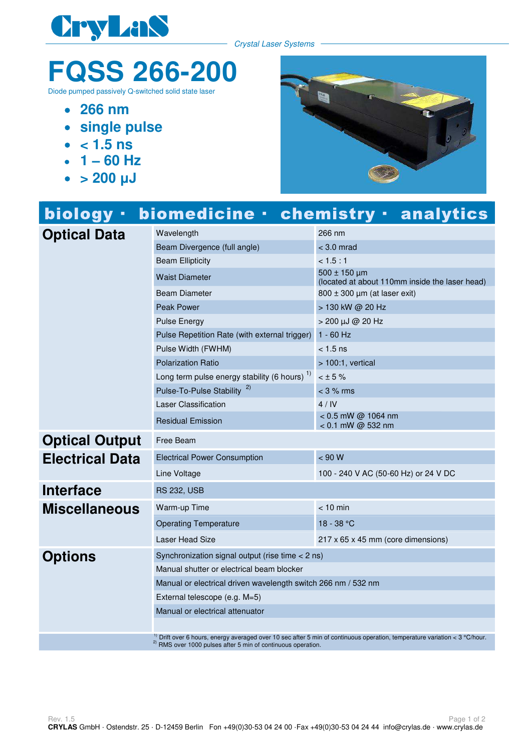

Crystal Laser Systems

## **FQSS 266-200**

Diode pumped passively Q-switched solid state laser

- **266 nm**
- **single pulse**
- $\bullet$  < 1.5 ns
- $\cdot$  1 60 Hz
- $\bullet$  > 200  $\mu$ J



| biology -              |                                                                                                                                                                                                                  | biomedicine · chemistry · analytics                                |
|------------------------|------------------------------------------------------------------------------------------------------------------------------------------------------------------------------------------------------------------|--------------------------------------------------------------------|
| <b>Optical Data</b>    | Wavelength                                                                                                                                                                                                       | 266 nm                                                             |
|                        | Beam Divergence (full angle)                                                                                                                                                                                     | $<$ 3.0 mrad                                                       |
|                        | <b>Beam Ellipticity</b>                                                                                                                                                                                          | < 1.5:1                                                            |
|                        | <b>Waist Diameter</b>                                                                                                                                                                                            | $500 \pm 150$ um<br>(located at about 110mm inside the laser head) |
|                        | <b>Beam Diameter</b>                                                                                                                                                                                             | 800 ± 300 µm (at laser exit)                                       |
|                        | <b>Peak Power</b>                                                                                                                                                                                                | > 130 kW @ 20 Hz                                                   |
|                        | <b>Pulse Energy</b>                                                                                                                                                                                              | > 200 µJ @ 20 Hz                                                   |
|                        | Pulse Repetition Rate (with external trigger)                                                                                                                                                                    | $1 - 60$ Hz                                                        |
|                        | Pulse Width (FWHM)                                                                                                                                                                                               | $< 1.5 \text{ ns}$                                                 |
|                        | <b>Polarization Ratio</b>                                                                                                                                                                                        | $>100:1$ , vertical                                                |
|                        | Long term pulse energy stability (6 hours) <sup>1)</sup>                                                                                                                                                         | $< 15 \%$                                                          |
|                        | Pulse-To-Pulse Stability <sup>2)</sup>                                                                                                                                                                           | $<$ 3 % rms                                                        |
|                        | Laser Classification                                                                                                                                                                                             | 4/IV                                                               |
|                        | <b>Residual Emission</b>                                                                                                                                                                                         | < 0.5 mW @ 1064 nm<br>< 0.1 mW @ 532 nm                            |
| <b>Optical Output</b>  | Free Beam                                                                                                                                                                                                        |                                                                    |
| <b>Electrical Data</b> | <b>Electrical Power Consumption</b>                                                                                                                                                                              | < 90 W                                                             |
|                        | Line Voltage                                                                                                                                                                                                     | 100 - 240 V AC (50-60 Hz) or 24 V DC                               |
| <b>Interface</b>       | <b>RS 232, USB</b>                                                                                                                                                                                               |                                                                    |
| <b>Miscellaneous</b>   | Warm-up Time                                                                                                                                                                                                     | $< 10$ min                                                         |
|                        | <b>Operating Temperature</b>                                                                                                                                                                                     | 18 - 38 °C                                                         |
|                        | <b>Laser Head Size</b>                                                                                                                                                                                           | 217 x 65 x 45 mm (core dimensions)                                 |
| <b>Options</b>         | Synchronization signal output (rise time < 2 ns)                                                                                                                                                                 |                                                                    |
|                        | Manual shutter or electrical beam blocker                                                                                                                                                                        |                                                                    |
|                        | Manual or electrical driven wavelength switch 266 nm / 532 nm                                                                                                                                                    |                                                                    |
|                        | External telescope (e.g. M=5)                                                                                                                                                                                    |                                                                    |
|                        | Manual or electrical attenuator                                                                                                                                                                                  |                                                                    |
|                        |                                                                                                                                                                                                                  |                                                                    |
|                        | <sup>1)</sup> Drift over 6 hours, energy averaged over 10 sec after 5 min of continuous operation, temperature variation < 3 °C/hour.<br><sup>2)</sup> RMS over 1000 pulses after 5 min of continuous operation. |                                                                    |